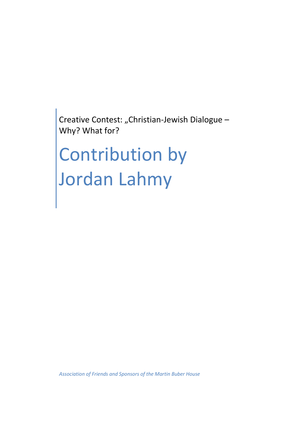Creative Contest: "Christian-Jewish Dialogue -Why? What for?

## Contribution by Jordan Lahmy

*Association of Friends and Sponsors of the Martin Buber House*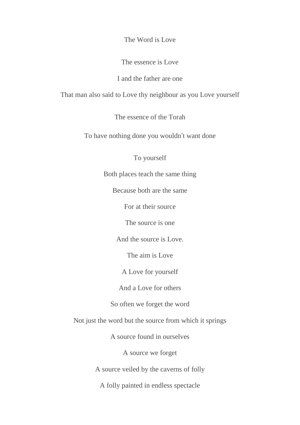The Word is Love

The essence is Love

I and the father are one

That man also said to Love thy neighbour as you Love yourself

The essence of the Torah

To have nothing done you wouldn't want done

To yourself

Both places teach the same thing

Because both are the same

For at their source

The source is one

And the source is Love.

The aim is Love

A Love for yourself

And a Love for others

So often we forget the word

Not just the word but the source from which it springs

A source found in ourselves

A source we forget

A source veiled by the caverns of folly

A folly painted in endless spectacle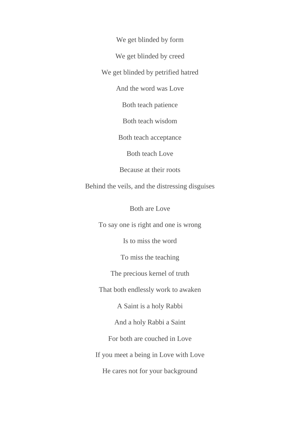We get blinded by form

We get blinded by creed

We get blinded by petrified hatred

And the word was Love

Both teach patience

Both teach wisdom

Both teach acceptance

Both teach Love

Because at their roots

Behind the veils, and the distressing disguises

Both are Love

To say one is right and one is wrong

Is to miss the word

To miss the teaching

The precious kernel of truth

That both endlessly work to awaken

A Saint is a holy Rabbi

And a holy Rabbi a Saint

For both are couched in Love

If you meet a being in Love with Love

He cares not for your background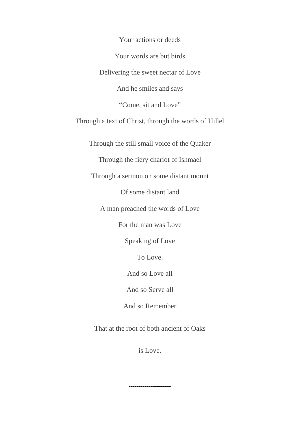Your actions or deeds Your words are but birds Delivering the sweet nectar of Love And he smiles and says "Come, sit and Love" Through a text of Christ, through the words of Hillel Through the still small voice of the Quaker Through the fiery chariot of Ishmael Through a sermon on some distant mount Of some distant land A man preached the words of Love For the man was Love Speaking of Love To Love. And so Love all And so Serve all And so Remember

That at the root of both ancient of Oaks

is Love.

*---------------------*